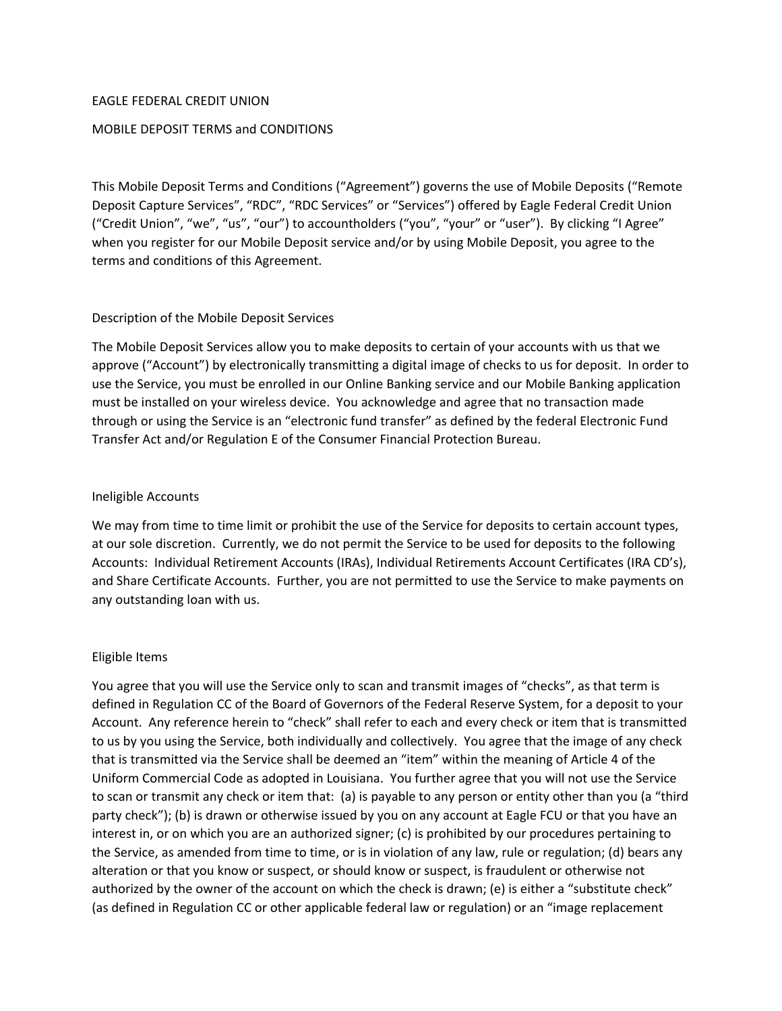#### EAGLE FEDERAL CREDIT UNION

### MOBILE DEPOSIT TERMS and CONDITIONS

This Mobile Deposit Terms and Conditions ("Agreement") governs the use of Mobile Deposits ("Remote Deposit Capture Services", "RDC", "RDC Services" or "Services") offered by Eagle Federal Credit Union ("Credit Union", "we", "us", "our") to accountholders ("you", "your" or "user"). By clicking "I Agree" when you register for our Mobile Deposit service and/or by using Mobile Deposit, you agree to the terms and conditions of this Agreement.

#### Description of the Mobile Deposit Services

The Mobile Deposit Services allow you to make deposits to certain of your accounts with us that we approve ("Account") by electronically transmitting a digital image of checks to us for deposit. In order to use the Service, you must be enrolled in our Online Banking service and our Mobile Banking application must be installed on your wireless device. You acknowledge and agree that no transaction made through or using the Service is an "electronic fund transfer" as defined by the federal Electronic Fund Transfer Act and/or Regulation E of the Consumer Financial Protection Bureau.

#### Ineligible Accounts

We may from time to time limit or prohibit the use of the Service for deposits to certain account types, at our sole discretion. Currently, we do not permit the Service to be used for deposits to the following Accounts: Individual Retirement Accounts (IRAs), Individual Retirements Account Certificates (IRA CD's), and Share Certificate Accounts. Further, you are not permitted to use the Service to make payments on any outstanding loan with us.

## Eligible Items

You agree that you will use the Service only to scan and transmit images of "checks", as that term is defined in Regulation CC of the Board of Governors of the Federal Reserve System, for a deposit to your Account. Any reference herein to "check" shall refer to each and every check or item that is transmitted to us by you using the Service, both individually and collectively. You agree that the image of any check that is transmitted via the Service shall be deemed an "item" within the meaning of Article 4 of the Uniform Commercial Code as adopted in Louisiana. You further agree that you will not use the Service to scan or transmit any check or item that: (a) is payable to any person or entity other than you (a "third party check"); (b) is drawn or otherwise issued by you on any account at Eagle FCU or that you have an interest in, or on which you are an authorized signer; (c) is prohibited by our procedures pertaining to the Service, as amended from time to time, or is in violation of any law, rule or regulation; (d) bears any alteration or that you know or suspect, or should know or suspect, is fraudulent or otherwise not authorized by the owner of the account on which the check is drawn; (e) is either a "substitute check" (as defined in Regulation CC or other applicable federal law or regulation) or an "image replacement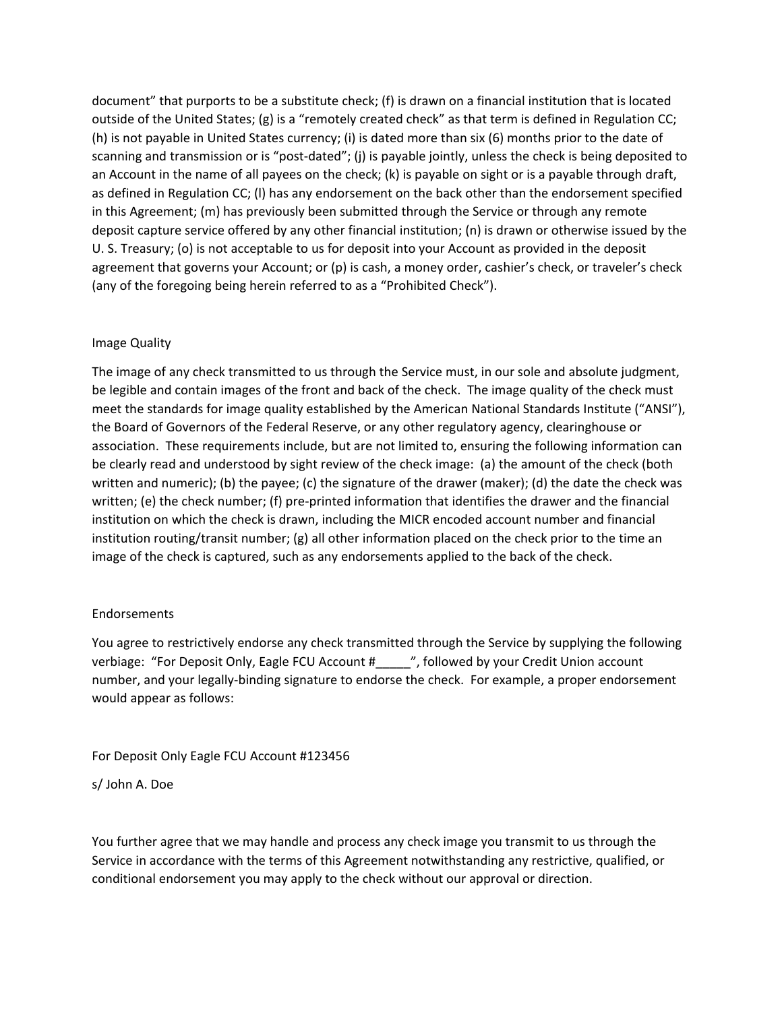document" that purports to be a substitute check; (f) is drawn on a financial institution that is located outside of the United States; (g) is a "remotely created check" as that term is defined in Regulation CC; (h) is not payable in United States currency; (i) is dated more than six (6) months prior to the date of scanning and transmission or is "post-dated"; (j) is payable jointly, unless the check is being deposited to an Account in the name of all payees on the check; (k) is payable on sight or is a payable through draft, as defined in Regulation CC; (l) has any endorsement on the back other than the endorsement specified in this Agreement; (m) has previously been submitted through the Service or through any remote deposit capture service offered by any other financial institution; (n) is drawn or otherwise issued by the U. S. Treasury; (o) is not acceptable to us for deposit into your Account as provided in the deposit agreement that governs your Account; or (p) is cash, a money order, cashier's check, or traveler's check (any of the foregoing being herein referred to as a "Prohibited Check").

## Image Quality

The image of any check transmitted to us through the Service must, in our sole and absolute judgment, be legible and contain images of the front and back of the check. The image quality of the check must meet the standards for image quality established by the American National Standards Institute ("ANSI"), the Board of Governors of the Federal Reserve, or any other regulatory agency, clearinghouse or association. These requirements include, but are not limited to, ensuring the following information can be clearly read and understood by sight review of the check image: (a) the amount of the check (both written and numeric); (b) the payee; (c) the signature of the drawer (maker); (d) the date the check was written; (e) the check number; (f) pre-printed information that identifies the drawer and the financial institution on which the check is drawn, including the MICR encoded account number and financial institution routing/transit number; (g) all other information placed on the check prior to the time an image of the check is captured, such as any endorsements applied to the back of the check.

## Endorsements

You agree to restrictively endorse any check transmitted through the Service by supplying the following verbiage: "For Deposit Only, Eagle FCU Account #\_\_\_\_\_", followed by your Credit Union account number, and your legally‐binding signature to endorse the check. For example, a proper endorsement would appear as follows:

For Deposit Only Eagle FCU Account #123456

s/ John A. Doe

You further agree that we may handle and process any check image you transmit to us through the Service in accordance with the terms of this Agreement notwithstanding any restrictive, qualified, or conditional endorsement you may apply to the check without our approval or direction.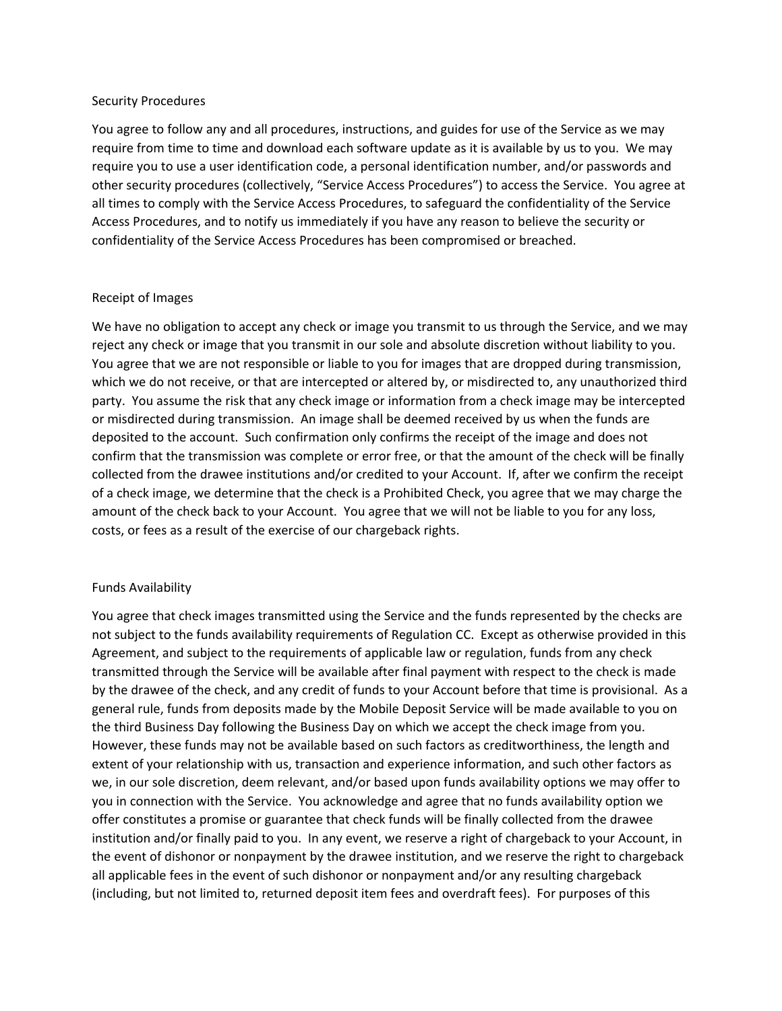#### Security Procedures

You agree to follow any and all procedures, instructions, and guides for use of the Service as we may require from time to time and download each software update as it is available by us to you. We may require you to use a user identification code, a personal identification number, and/or passwords and other security procedures (collectively, "Service Access Procedures") to access the Service. You agree at all times to comply with the Service Access Procedures, to safeguard the confidentiality of the Service Access Procedures, and to notify us immediately if you have any reason to believe the security or confidentiality of the Service Access Procedures has been compromised or breached.

#### Receipt of Images

We have no obligation to accept any check or image you transmit to us through the Service, and we may reject any check or image that you transmit in our sole and absolute discretion without liability to you. You agree that we are not responsible or liable to you for images that are dropped during transmission, which we do not receive, or that are intercepted or altered by, or misdirected to, any unauthorized third party. You assume the risk that any check image or information from a check image may be intercepted or misdirected during transmission. An image shall be deemed received by us when the funds are deposited to the account. Such confirmation only confirms the receipt of the image and does not confirm that the transmission was complete or error free, or that the amount of the check will be finally collected from the drawee institutions and/or credited to your Account. If, after we confirm the receipt of a check image, we determine that the check is a Prohibited Check, you agree that we may charge the amount of the check back to your Account. You agree that we will not be liable to you for any loss, costs, or fees as a result of the exercise of our chargeback rights.

#### Funds Availability

You agree that check images transmitted using the Service and the funds represented by the checks are not subject to the funds availability requirements of Regulation CC. Except as otherwise provided in this Agreement, and subject to the requirements of applicable law or regulation, funds from any check transmitted through the Service will be available after final payment with respect to the check is made by the drawee of the check, and any credit of funds to your Account before that time is provisional. As a general rule, funds from deposits made by the Mobile Deposit Service will be made available to you on the third Business Day following the Business Day on which we accept the check image from you. However, these funds may not be available based on such factors as creditworthiness, the length and extent of your relationship with us, transaction and experience information, and such other factors as we, in our sole discretion, deem relevant, and/or based upon funds availability options we may offer to you in connection with the Service. You acknowledge and agree that no funds availability option we offer constitutes a promise or guarantee that check funds will be finally collected from the drawee institution and/or finally paid to you. In any event, we reserve a right of chargeback to your Account, in the event of dishonor or nonpayment by the drawee institution, and we reserve the right to chargeback all applicable fees in the event of such dishonor or nonpayment and/or any resulting chargeback (including, but not limited to, returned deposit item fees and overdraft fees). For purposes of this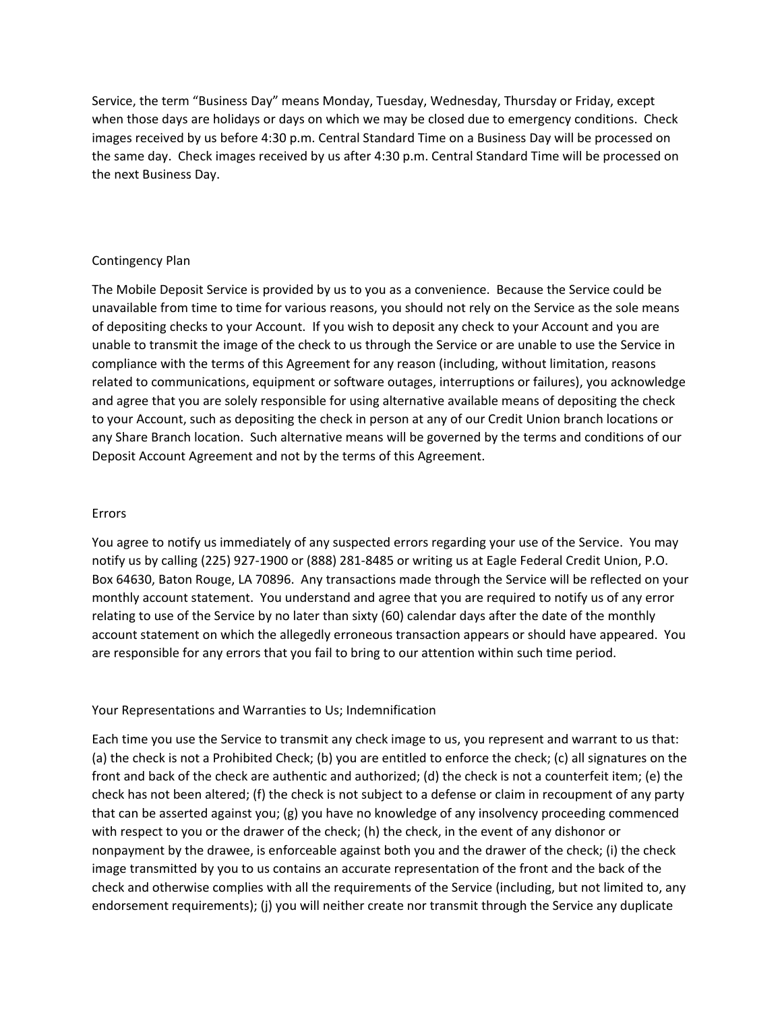Service, the term "Business Day" means Monday, Tuesday, Wednesday, Thursday or Friday, except when those days are holidays or days on which we may be closed due to emergency conditions. Check images received by us before 4:30 p.m. Central Standard Time on a Business Day will be processed on the same day. Check images received by us after 4:30 p.m. Central Standard Time will be processed on the next Business Day.

#### Contingency Plan

The Mobile Deposit Service is provided by us to you as a convenience. Because the Service could be unavailable from time to time for various reasons, you should not rely on the Service as the sole means of depositing checks to your Account. If you wish to deposit any check to your Account and you are unable to transmit the image of the check to us through the Service or are unable to use the Service in compliance with the terms of this Agreement for any reason (including, without limitation, reasons related to communications, equipment or software outages, interruptions or failures), you acknowledge and agree that you are solely responsible for using alternative available means of depositing the check to your Account, such as depositing the check in person at any of our Credit Union branch locations or any Share Branch location. Such alternative means will be governed by the terms and conditions of our Deposit Account Agreement and not by the terms of this Agreement.

#### Errors

You agree to notify us immediately of any suspected errors regarding your use of the Service. You may notify us by calling (225) 927‐1900 or (888) 281‐8485 or writing us at Eagle Federal Credit Union, P.O. Box 64630, Baton Rouge, LA 70896. Any transactions made through the Service will be reflected on your monthly account statement. You understand and agree that you are required to notify us of any error relating to use of the Service by no later than sixty (60) calendar days after the date of the monthly account statement on which the allegedly erroneous transaction appears or should have appeared. You are responsible for any errors that you fail to bring to our attention within such time period.

#### Your Representations and Warranties to Us; Indemnification

Each time you use the Service to transmit any check image to us, you represent and warrant to us that: (a) the check is not a Prohibited Check; (b) you are entitled to enforce the check; (c) all signatures on the front and back of the check are authentic and authorized; (d) the check is not a counterfeit item; (e) the check has not been altered; (f) the check is not subject to a defense or claim in recoupment of any party that can be asserted against you; (g) you have no knowledge of any insolvency proceeding commenced with respect to you or the drawer of the check; (h) the check, in the event of any dishonor or nonpayment by the drawee, is enforceable against both you and the drawer of the check; (i) the check image transmitted by you to us contains an accurate representation of the front and the back of the check and otherwise complies with all the requirements of the Service (including, but not limited to, any endorsement requirements); (j) you will neither create nor transmit through the Service any duplicate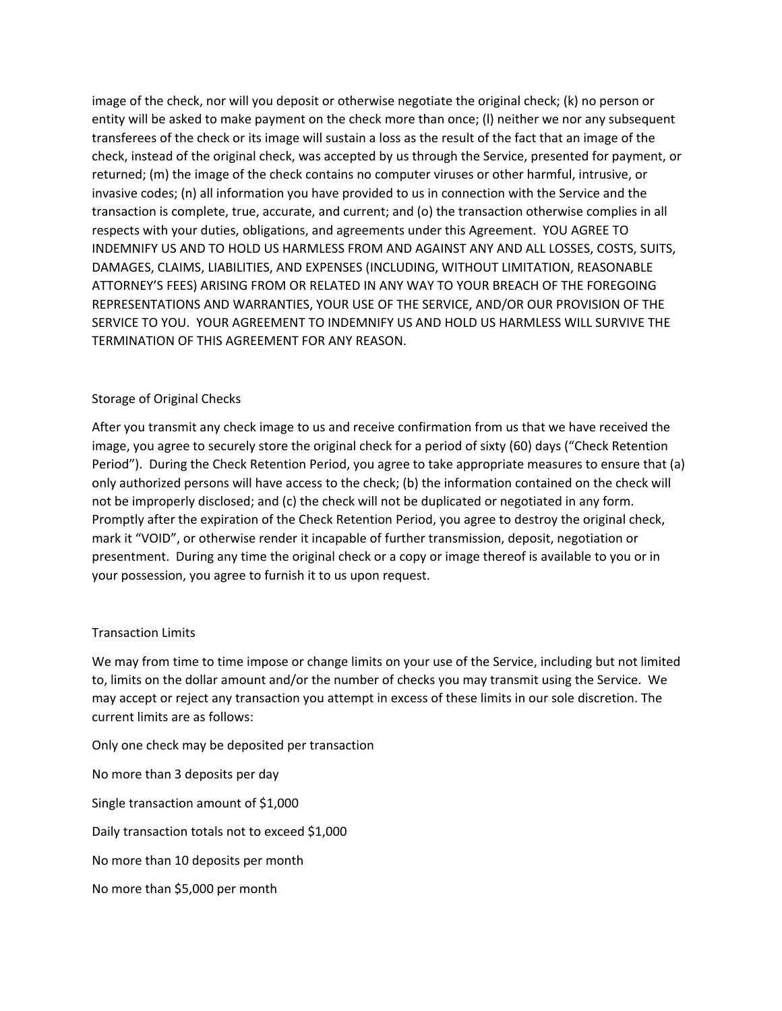image of the check, nor will you deposit or otherwise negotiate the original check; (k) no person or entity will be asked to make payment on the check more than once; (l) neither we nor any subsequent transferees of the check or its image will sustain a loss as the result of the fact that an image of the check, instead of the original check, was accepted by us through the Service, presented for payment, or returned; (m) the image of the check contains no computer viruses or other harmful, intrusive, or invasive codes; (n) all information you have provided to us in connection with the Service and the transaction is complete, true, accurate, and current; and (o) the transaction otherwise complies in all respects with your duties, obligations, and agreements under this Agreement. YOU AGREE TO INDEMNIFY US AND TO HOLD US HARMLESS FROM AND AGAINST ANY AND ALL LOSSES, COSTS, SUITS, DAMAGES, CLAIMS, LIABILITIES, AND EXPENSES (INCLUDING, WITHOUT LIMITATION, REASONABLE ATTORNEY'S FEES) ARISING FROM OR RELATED IN ANY WAY TO YOUR BREACH OF THE FOREGOING REPRESENTATIONS AND WARRANTIES, YOUR USE OF THE SERVICE, AND/OR OUR PROVISION OF THE SERVICE TO YOU. YOUR AGREEMENT TO INDEMNIFY US AND HOLD US HARMLESS WILL SURVIVE THE TERMINATION OF THIS AGREEMENT FOR ANY REASON.

## Storage of Original Checks

After you transmit any check image to us and receive confirmation from us that we have received the image, you agree to securely store the original check for a period of sixty (60) days ("Check Retention Period"). During the Check Retention Period, you agree to take appropriate measures to ensure that (a) only authorized persons will have access to the check; (b) the information contained on the check will not be improperly disclosed; and (c) the check will not be duplicated or negotiated in any form. Promptly after the expiration of the Check Retention Period, you agree to destroy the original check, mark it "VOID", or otherwise render it incapable of further transmission, deposit, negotiation or presentment. During any time the original check or a copy or image thereof is available to you or in your possession, you agree to furnish it to us upon request.

## Transaction Limits

We may from time to time impose or change limits on your use of the Service, including but not limited to, limits on the dollar amount and/or the number of checks you may transmit using the Service. We may accept or reject any transaction you attempt in excess of these limits in our sole discretion. The current limits are as follows:

Only one check may be deposited per transaction

No more than 3 deposits per day Single transaction amount of \$1,000 Daily transaction totals not to exceed \$1,000 No more than 10 deposits per month

No more than \$5,000 per month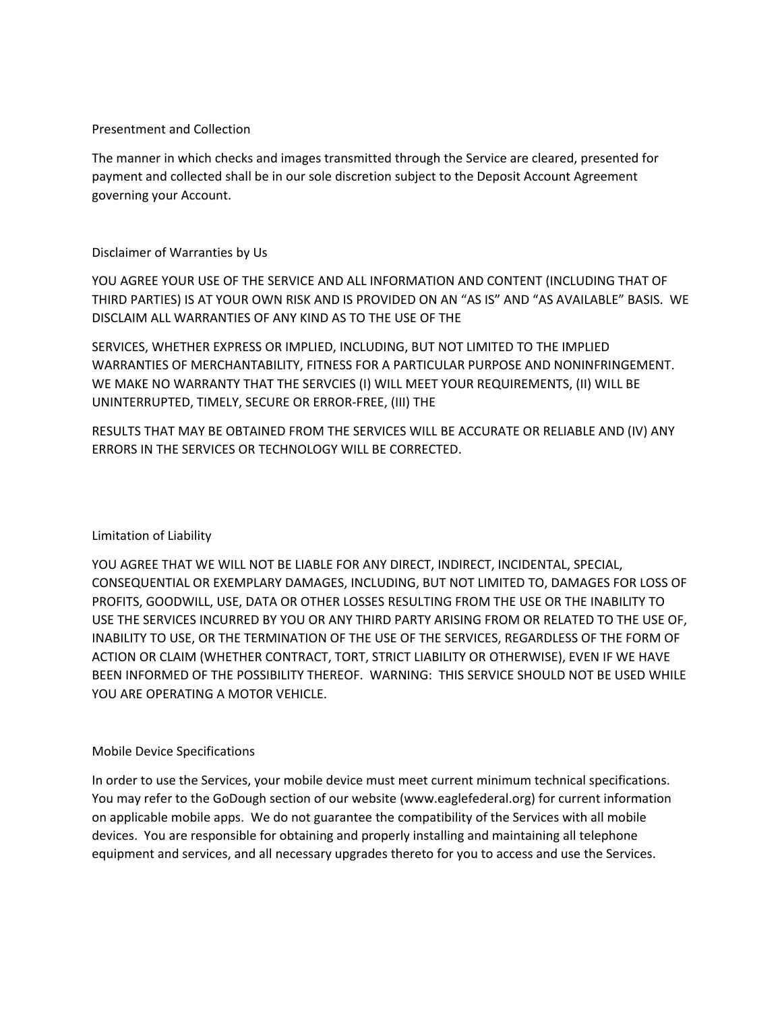## Presentment and Collection

The manner in which checks and images transmitted through the Service are cleared, presented for payment and collected shall be in our sole discretion subject to the Deposit Account Agreement governing your Account.

# Disclaimer of Warranties by Us

YOU AGREE YOUR USE OF THE SERVICE AND ALL INFORMATION AND CONTENT (INCLUDING THAT OF THIRD PARTIES) IS AT YOUR OWN RISK AND IS PROVIDED ON AN "AS IS" AND "AS AVAILABLE" BASIS. WE DISCLAIM ALL WARRANTIES OF ANY KIND AS TO THE USE OF THE

SERVICES, WHETHER EXPRESS OR IMPLIED, INCLUDING, BUT NOT LIMITED TO THE IMPLIED WARRANTIES OF MERCHANTABILITY, FITNESS FOR A PARTICULAR PURPOSE AND NONINFRINGEMENT. WE MAKE NO WARRANTY THAT THE SERVCIES (I) WILL MEET YOUR REQUIREMENTS, (II) WILL BE UNINTERRUPTED, TIMELY, SECURE OR ERROR‐FREE, (III) THE

RESULTS THAT MAY BE OBTAINED FROM THE SERVICES WILL BE ACCURATE OR RELIABLE AND (IV) ANY ERRORS IN THE SERVICES OR TECHNOLOGY WILL BE CORRECTED.

# Limitation of Liability

YOU AGREE THAT WE WILL NOT BE LIABLE FOR ANY DIRECT, INDIRECT, INCIDENTAL, SPECIAL, CONSEQUENTIAL OR EXEMPLARY DAMAGES, INCLUDING, BUT NOT LIMITED TO, DAMAGES FOR LOSS OF PROFITS, GOODWILL, USE, DATA OR OTHER LOSSES RESULTING FROM THE USE OR THE INABILITY TO USE THE SERVICES INCURRED BY YOU OR ANY THIRD PARTY ARISING FROM OR RELATED TO THE USE OF, INABILITY TO USE, OR THE TERMINATION OF THE USE OF THE SERVICES, REGARDLESS OF THE FORM OF ACTION OR CLAIM (WHETHER CONTRACT, TORT, STRICT LIABILITY OR OTHERWISE), EVEN IF WE HAVE BEEN INFORMED OF THE POSSIBILITY THEREOF. WARNING: THIS SERVICE SHOULD NOT BE USED WHILE YOU ARE OPERATING A MOTOR VEHICLE.

# Mobile Device Specifications

In order to use the Services, your mobile device must meet current minimum technical specifications. You may refer to the GoDough section of our website (www.eaglefederal.org) for current information on applicable mobile apps. We do not guarantee the compatibility of the Services with all mobile devices. You are responsible for obtaining and properly installing and maintaining all telephone equipment and services, and all necessary upgrades thereto for you to access and use the Services.